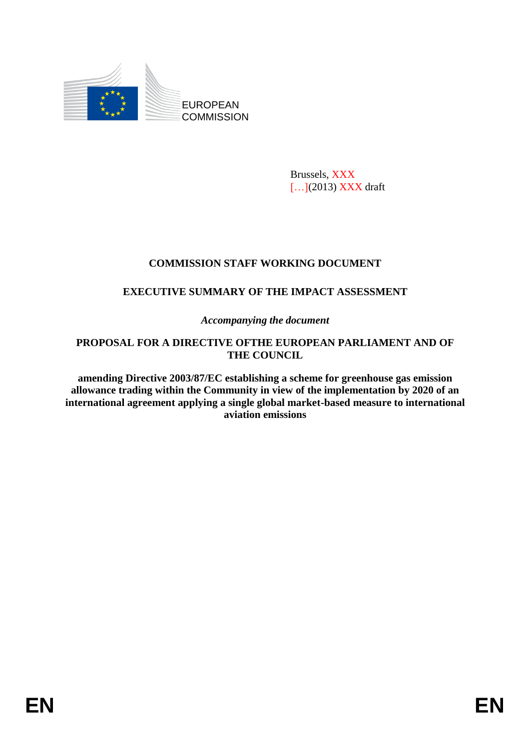

Brussels, XXX [...](2013) **XXX** draft

# **COMMISSION STAFF WORKING DOCUMENT**

# **EXECUTIVE SUMMARY OF THE IMPACT ASSESSMENT**

*Accompanying the document*

#### **PROPOSAL FOR A DIRECTIVE OFTHE EUROPEAN PARLIAMENT AND OF THE COUNCIL**

**amending Directive 2003/87/EC establishing a scheme for greenhouse gas emission allowance trading within the Community in view of the implementation by 2020 of an international agreement applying a single global market-based measure to international aviation emissions**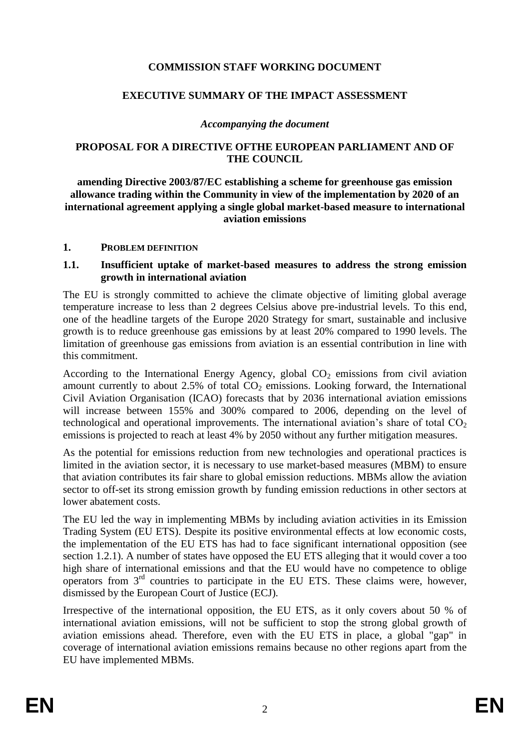### **COMMISSION STAFF WORKING DOCUMENT**

#### **EXECUTIVE SUMMARY OF THE IMPACT ASSESSMENT**

#### *Accompanying the document*

#### **PROPOSAL FOR A DIRECTIVE OFTHE EUROPEAN PARLIAMENT AND OF THE COUNCIL**

**amending Directive 2003/87/EC establishing a scheme for greenhouse gas emission allowance trading within the Community in view of the implementation by 2020 of an international agreement applying a single global market-based measure to international aviation emissions**

#### **1. PROBLEM DEFINITION**

#### **1.1. Insufficient uptake of market-based measures to address the strong emission growth in international aviation**

The EU is strongly committed to achieve the climate objective of limiting global average temperature increase to less than 2 degrees Celsius above pre-industrial levels. To this end, one of the headline targets of the Europe 2020 Strategy for smart, sustainable and inclusive growth is to reduce greenhouse gas emissions by at least 20% compared to 1990 levels. The limitation of greenhouse gas emissions from aviation is an essential contribution in line with this commitment.

According to the International Energy Agency, global  $CO<sub>2</sub>$  emissions from civil aviation amount currently to about 2.5% of total  $CO<sub>2</sub>$  emissions. Looking forward, the International Civil Aviation Organisation (ICAO) forecasts that by 2036 international aviation emissions will increase between 155% and 300% compared to 2006, depending on the level of technological and operational improvements. The international aviation's share of total  $CO<sub>2</sub>$ emissions is projected to reach at least 4% by 2050 without any further mitigation measures.

As the potential for emissions reduction from new technologies and operational practices is limited in the aviation sector, it is necessary to use market-based measures (MBM) to ensure that aviation contributes its fair share to global emission reductions. MBMs allow the aviation sector to off-set its strong emission growth by funding emission reductions in other sectors at lower abatement costs.

The EU led the way in implementing MBMs by including aviation activities in its Emission Trading System (EU ETS). Despite its positive environmental effects at low economic costs, the implementation of the EU ETS has had to face significant international opposition (see section [1.2.1\)](#page-2-0). A number of states have opposed the EU ETS alleging that it would cover a too high share of international emissions and that the EU would have no competence to oblige operators from 3rd countries to participate in the EU ETS. These claims were, however, dismissed by the European Court of Justice (ECJ).

Irrespective of the international opposition, the EU ETS, as it only covers about 50 % of international aviation emissions, will not be sufficient to stop the strong global growth of aviation emissions ahead. Therefore, even with the EU ETS in place, a global "gap" in coverage of international aviation emissions remains because no other regions apart from the EU have implemented MBMs.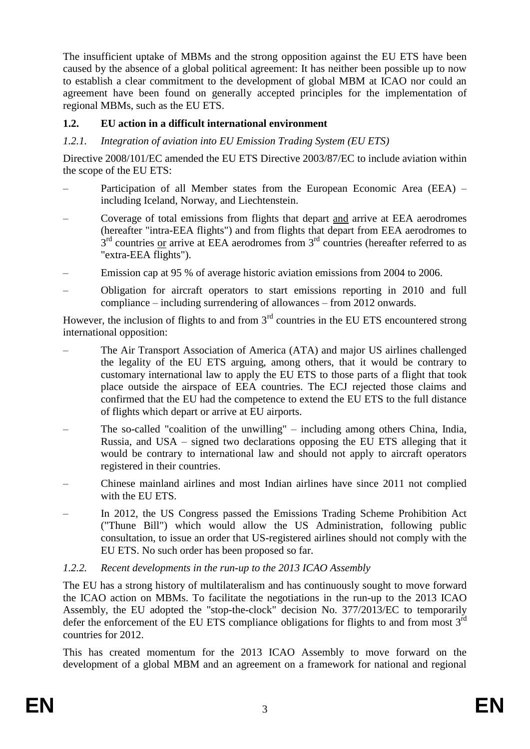The insufficient uptake of MBMs and the strong opposition against the EU ETS have been caused by the absence of a global political agreement: It has neither been possible up to now to establish a clear commitment to the development of global MBM at ICAO nor could an agreement have been found on generally accepted principles for the implementation of regional MBMs, such as the EU ETS.

## **1.2. EU action in a difficult international environment**

### <span id="page-2-0"></span>*1.2.1. Integration of aviation into EU Emission Trading System (EU ETS)*

Directive 2008/101/EC amended the EU ETS Directive 2003/87/EC to include aviation within the scope of the EU ETS:

- Participation of all Member states from the European Economic Area (EEA) including Iceland, Norway, and Liechtenstein.
- Coverage of total emissions from flights that depart and arrive at EEA aerodromes (hereafter "intra-EEA flights") and from flights that depart from EEA aerodromes to  $3<sup>rd</sup>$  countries <u>or</u> arrive at EEA aerodromes from  $3<sup>rd</sup>$  countries (hereafter referred to as "extra-EEA flights").
- Emission cap at 95 % of average historic aviation emissions from 2004 to 2006.
- Obligation for aircraft operators to start emissions reporting in 2010 and full compliance – including surrendering of allowances – from 2012 onwards.

However, the inclusion of flights to and from  $3<sup>rd</sup>$  countries in the EU ETS encountered strong international opposition:

- The Air Transport Association of America (ATA) and major US airlines challenged the legality of the EU ETS arguing, among others, that it would be contrary to customary international law to apply the EU ETS to those parts of a flight that took place outside the airspace of EEA countries. The ECJ rejected those claims and confirmed that the EU had the competence to extend the EU ETS to the full distance of flights which depart or arrive at EU airports.
- The so-called "coalition of the unwilling" including among others China, India, Russia, and USA – signed two declarations opposing the EU ETS alleging that it would be contrary to international law and should not apply to aircraft operators registered in their countries.
- Chinese mainland airlines and most Indian airlines have since 2011 not complied with the EU ETS.
- In 2012, the US Congress passed the Emissions Trading Scheme Prohibition Act ("Thune Bill") which would allow the US Administration, following public consultation, to issue an order that US-registered airlines should not comply with the EU ETS. No such order has been proposed so far.

### <span id="page-2-1"></span>*1.2.2. Recent developments in the run-up to the 2013 ICAO Assembly*

The EU has a strong history of multilateralism and has continuously sought to move forward the ICAO action on MBMs. To facilitate the negotiations in the run-up to the 2013 ICAO Assembly, the EU adopted the "stop-the-clock" decision No. 377/2013/EC to temporarily defer the enforcement of the EU ETS compliance obligations for flights to and from most  $3<sup>rd</sup>$ countries for 2012.

This has created momentum for the 2013 ICAO Assembly to move forward on the development of a global MBM and an agreement on a framework for national and regional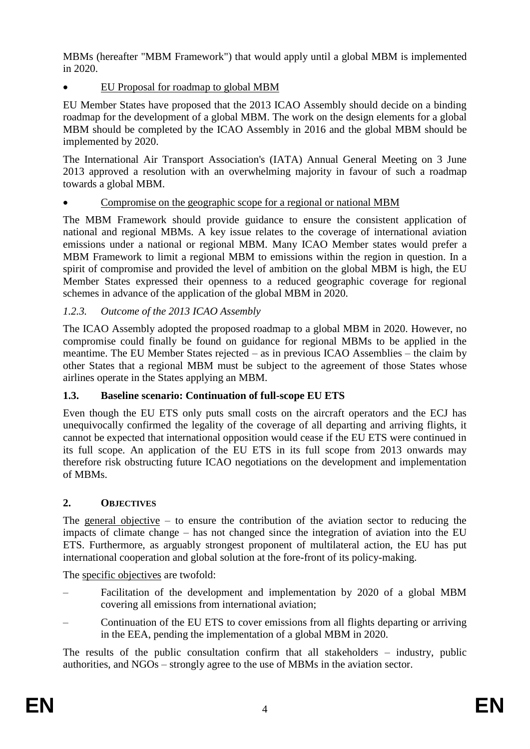MBMs (hereafter "MBM Framework") that would apply until a global MBM is implemented in 2020.

EU Proposal for roadmap to global MBM

EU Member States have proposed that the 2013 ICAO Assembly should decide on a binding roadmap for the development of a global MBM. The work on the design elements for a global MBM should be completed by the ICAO Assembly in 2016 and the global MBM should be implemented by 2020.

The International Air Transport Association's (IATA) Annual General Meeting on 3 June 2013 approved a resolution with an overwhelming majority in favour of such a roadmap towards a global MBM.

### Compromise on the geographic scope for a regional or national MBM

The MBM Framework should provide guidance to ensure the consistent application of national and regional MBMs. A key issue relates to the coverage of international aviation emissions under a national or regional MBM. Many ICAO Member states would prefer a MBM Framework to limit a regional MBM to emissions within the region in question. In a spirit of compromise and provided the level of ambition on the global MBM is high, the EU Member States expressed their openness to a reduced geographic coverage for regional schemes in advance of the application of the global MBM in 2020.

# *1.2.3. Outcome of the 2013 ICAO Assembly*

The ICAO Assembly adopted the proposed roadmap to a global MBM in 2020. However, no compromise could finally be found on guidance for regional MBMs to be applied in the meantime. The EU Member States rejected – as in previous ICAO Assemblies – the claim by other States that a regional MBM must be subject to the agreement of those States whose airlines operate in the States applying an MBM.

### **1.3. Baseline scenario: Continuation of full-scope EU ETS**

Even though the EU ETS only puts small costs on the aircraft operators and the ECJ has unequivocally confirmed the legality of the coverage of all departing and arriving flights, it cannot be expected that international opposition would cease if the EU ETS were continued in its full scope. An application of the EU ETS in its full scope from 2013 onwards may therefore risk obstructing future ICAO negotiations on the development and implementation of MBMs.

# **2. OBJECTIVES**

The general objective  $-$  to ensure the contribution of the aviation sector to reducing the impacts of climate change – has not changed since the integration of aviation into the EU ETS. Furthermore, as arguably strongest proponent of multilateral action, the EU has put international cooperation and global solution at the fore-front of its policy-making.

The specific objectives are twofold:

- Facilitation of the development and implementation by 2020 of a global MBM covering all emissions from international aviation;
- Continuation of the EU ETS to cover emissions from all flights departing or arriving in the EEA, pending the implementation of a global MBM in 2020.

The results of the public consultation confirm that all stakeholders – industry, public authorities, and NGOs – strongly agree to the use of MBMs in the aviation sector.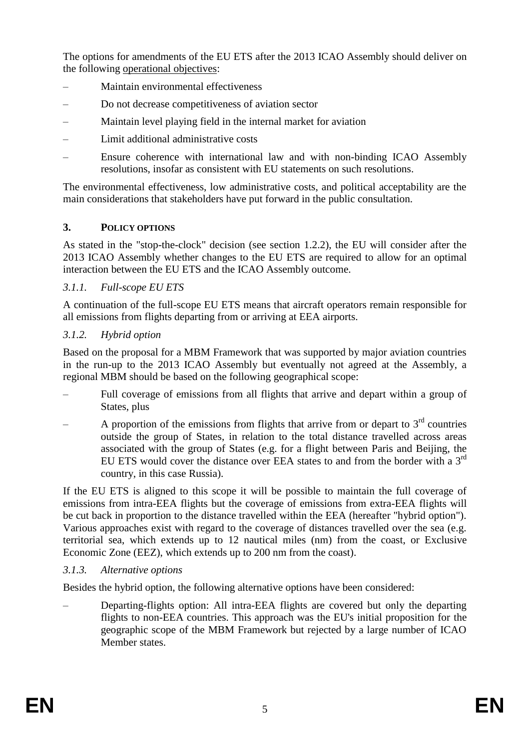The options for amendments of the EU ETS after the 2013 ICAO Assembly should deliver on the following operational objectives:

- Maintain environmental effectiveness
- Do not decrease competitiveness of aviation sector
- Maintain level playing field in the internal market for aviation
- Limit additional administrative costs
- Ensure coherence with international law and with non-binding ICAO Assembly resolutions, insofar as consistent with EU statements on such resolutions.

The environmental effectiveness, low administrative costs, and political acceptability are the main considerations that stakeholders have put forward in the public consultation.

### **3. POLICY OPTIONS**

As stated in the "stop-the-clock" decision (see section [1.2.2\)](#page-2-1), the EU will consider after the 2013 ICAO Assembly whether changes to the EU ETS are required to allow for an optimal interaction between the EU ETS and the ICAO Assembly outcome.

# *3.1.1. Full-scope EU ETS*

A continuation of the full-scope EU ETS means that aircraft operators remain responsible for all emissions from flights departing from or arriving at EEA airports.

# *3.1.2. Hybrid option*

Based on the proposal for a MBM Framework that was supported by major aviation countries in the run-up to the 2013 ICAO Assembly but eventually not agreed at the Assembly, a regional MBM should be based on the following geographical scope:

- Full coverage of emissions from all flights that arrive and depart within a group of States, plus
- $-$  A proportion of the emissions from flights that arrive from or depart to  $3<sup>rd</sup>$  countries outside the group of States, in relation to the total distance travelled across areas associated with the group of States (e.g. for a flight between Paris and Beijing, the EU ETS would cover the distance over EEA states to and from the border with a  $3<sup>rd</sup>$ country, in this case Russia).

If the EU ETS is aligned to this scope it will be possible to maintain the full coverage of emissions from intra-EEA flights but the coverage of emissions from extra-EEA flights will be cut back in proportion to the distance travelled within the EEA (hereafter "hybrid option"). Various approaches exist with regard to the coverage of distances travelled over the sea (e.g. territorial sea, which extends up to 12 nautical miles (nm) from the coast, or Exclusive Economic Zone (EEZ), which extends up to 200 nm from the coast).

### *3.1.3. Alternative options*

Besides the hybrid option, the following alternative options have been considered:

– Departing-flights option: All intra-EEA flights are covered but only the departing flights to non-EEA countries. This approach was the EU's initial proposition for the geographic scope of the MBM Framework but rejected by a large number of ICAO Member states.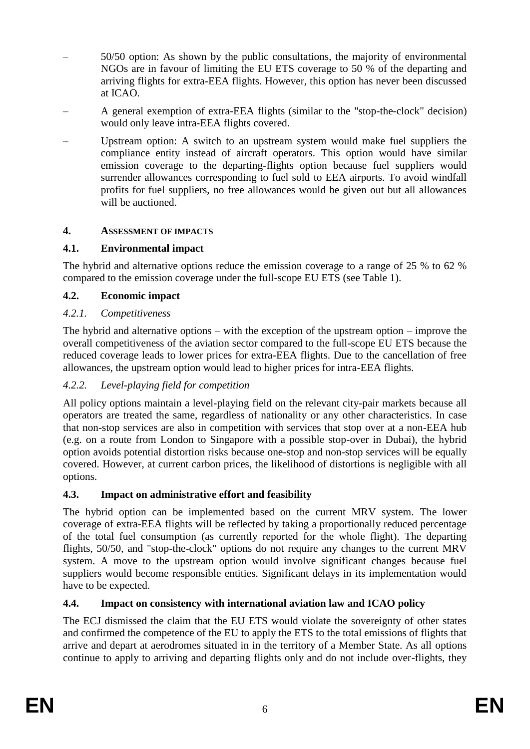- 50/50 option: As shown by the public consultations, the majority of environmental NGOs are in favour of limiting the EU ETS coverage to 50 % of the departing and arriving flights for extra-EEA flights. However, this option has never been discussed at ICAO.
- A general exemption of extra-EEA flights (similar to the "stop-the-clock" decision) would only leave intra-EEA flights covered.
- Upstream option: A switch to an upstream system would make fuel suppliers the compliance entity instead of aircraft operators. This option would have similar emission coverage to the departing-flights option because fuel suppliers would surrender allowances corresponding to fuel sold to EEA airports. To avoid windfall profits for fuel suppliers, no free allowances would be given out but all allowances will be auctioned.

# **4. ASSESSMENT OF IMPACTS**

# **4.1. Environmental impact**

The hybrid and alternative options reduce the emission coverage to a range of 25 % to 62 % compared to the emission coverage under the full-scope EU ETS (see Table 1).

# **4.2. Economic impact**

# *4.2.1. Competitiveness*

The hybrid and alternative options – with the exception of the upstream option – improve the overall competitiveness of the aviation sector compared to the full-scope EU ETS because the reduced coverage leads to lower prices for extra-EEA flights. Due to the cancellation of free allowances, the upstream option would lead to higher prices for intra-EEA flights.

# *4.2.2. Level-playing field for competition*

All policy options maintain a level-playing field on the relevant city-pair markets because all operators are treated the same, regardless of nationality or any other characteristics. In case that non-stop services are also in competition with services that stop over at a non-EEA hub (e.g. on a route from London to Singapore with a possible stop-over in Dubai), the hybrid option avoids potential distortion risks because one-stop and non-stop services will be equally covered. However, at current carbon prices, the likelihood of distortions is negligible with all options.

# **4.3. Impact on administrative effort and feasibility**

The hybrid option can be implemented based on the current MRV system. The lower coverage of extra-EEA flights will be reflected by taking a proportionally reduced percentage of the total fuel consumption (as currently reported for the whole flight). The departing flights, 50/50, and "stop-the-clock" options do not require any changes to the current MRV system. A move to the upstream option would involve significant changes because fuel suppliers would become responsible entities. Significant delays in its implementation would have to be expected.

# **4.4. Impact on consistency with international aviation law and ICAO policy**

The ECJ dismissed the claim that the EU ETS would violate the sovereignty of other states and confirmed the competence of the EU to apply the ETS to the total emissions of flights that arrive and depart at aerodromes situated in in the territory of a Member State. As all options continue to apply to arriving and departing flights only and do not include over-flights, they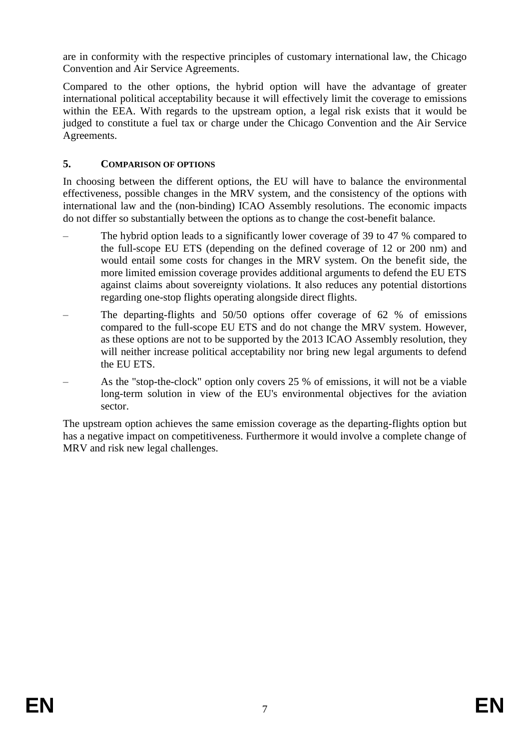are in conformity with the respective principles of customary international law, the Chicago Convention and Air Service Agreements.

Compared to the other options, the hybrid option will have the advantage of greater international political acceptability because it will effectively limit the coverage to emissions within the EEA. With regards to the upstream option, a legal risk exists that it would be judged to constitute a fuel tax or charge under the Chicago Convention and the Air Service Agreements.

## **5. COMPARISON OF OPTIONS**

In choosing between the different options, the EU will have to balance the environmental effectiveness, possible changes in the MRV system, and the consistency of the options with international law and the (non-binding) ICAO Assembly resolutions. The economic impacts do not differ so substantially between the options as to change the cost-benefit balance.

- The hybrid option leads to a significantly lower coverage of 39 to 47 % compared to the full-scope EU ETS (depending on the defined coverage of 12 or 200 nm) and would entail some costs for changes in the MRV system. On the benefit side, the more limited emission coverage provides additional arguments to defend the EU ETS against claims about sovereignty violations. It also reduces any potential distortions regarding one-stop flights operating alongside direct flights.
- The departing-flights and 50/50 options offer coverage of 62 % of emissions compared to the full-scope EU ETS and do not change the MRV system. However, as these options are not to be supported by the 2013 ICAO Assembly resolution, they will neither increase political acceptability nor bring new legal arguments to defend the EU ETS.
- As the "stop-the-clock" option only covers 25 % of emissions, it will not be a viable long-term solution in view of the EU's environmental objectives for the aviation sector.

The upstream option achieves the same emission coverage as the departing-flights option but has a negative impact on competitiveness. Furthermore it would involve a complete change of MRV and risk new legal challenges.